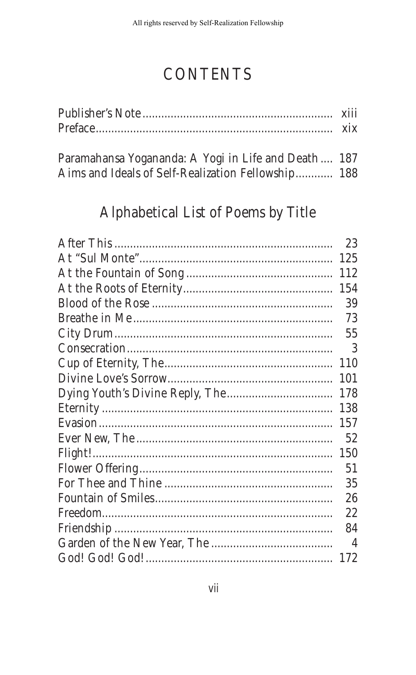# **CONTENTS**

| Paramahansa Vogananda: A Vogi in Life and Death 187 |  |
|-----------------------------------------------------|--|

| I diamahansa Toganahua. A Togi in Life anu Death Tor |  |
|------------------------------------------------------|--|
| Aims and Ideals of Self-Realization Fellowship 188   |  |

## Alphabetical List of Poems by Title

| 23  |
|-----|
| 125 |
| 112 |
| 154 |
| 39  |
| 73  |
| 55  |
| 3   |
| 110 |
| 101 |
| 178 |
| 138 |
| 157 |
| 52  |
| 150 |
| 51  |
| 35  |
| 26  |
| 22  |
| 84  |
| 4   |
| 172 |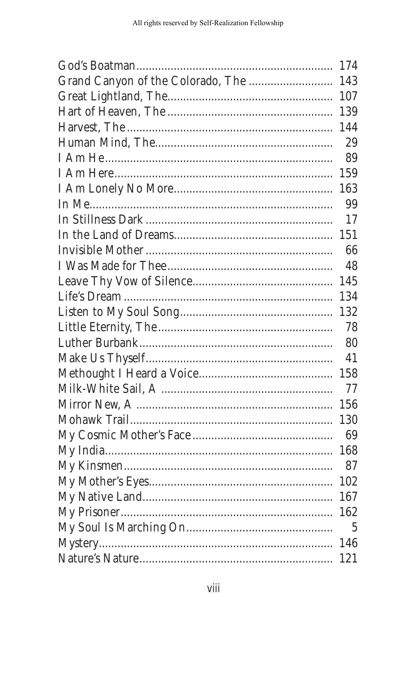|                                   | 174 |
|-----------------------------------|-----|
| Grand Canyon of the Colorado, The | 143 |
|                                   | 107 |
|                                   | 139 |
|                                   | 144 |
|                                   | 29  |
|                                   | 89  |
|                                   | 159 |
|                                   | 163 |
|                                   | 99  |
|                                   | 17  |
|                                   | 151 |
|                                   | 66  |
|                                   | 48  |
|                                   | 145 |
|                                   | 134 |
|                                   | 132 |
|                                   | 78  |
|                                   | 80  |
|                                   | 41  |
|                                   | 158 |
|                                   | 77  |
|                                   | 156 |
|                                   | 130 |
|                                   | 69  |
|                                   | 168 |
|                                   | 87  |
|                                   | 102 |
|                                   | 167 |
|                                   | 162 |
|                                   | 5   |
|                                   | 146 |
|                                   | 121 |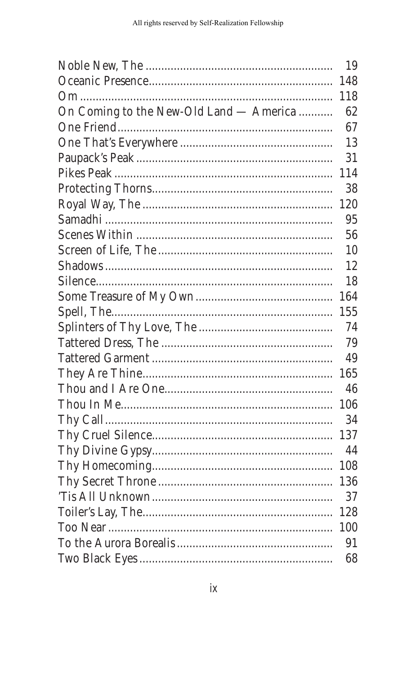|                                         | 19  |
|-----------------------------------------|-----|
|                                         | 148 |
|                                         | 118 |
| On Coming to the New-Old Land - America | 62  |
|                                         | 67  |
|                                         | 13  |
|                                         | 31  |
|                                         | 114 |
|                                         | 38  |
|                                         | 120 |
|                                         | 95  |
|                                         | 56  |
|                                         | 10  |
|                                         | 12  |
|                                         | 18  |
|                                         | 164 |
|                                         | 155 |
|                                         | 74  |
|                                         | 79  |
|                                         | 49  |
|                                         | 165 |
|                                         | 46  |
|                                         | 106 |
|                                         | 34  |
|                                         | 137 |
|                                         | 44  |
|                                         | 108 |
|                                         | 136 |
|                                         | 37  |
|                                         | 128 |
|                                         | 100 |
|                                         | 91  |
|                                         | 68  |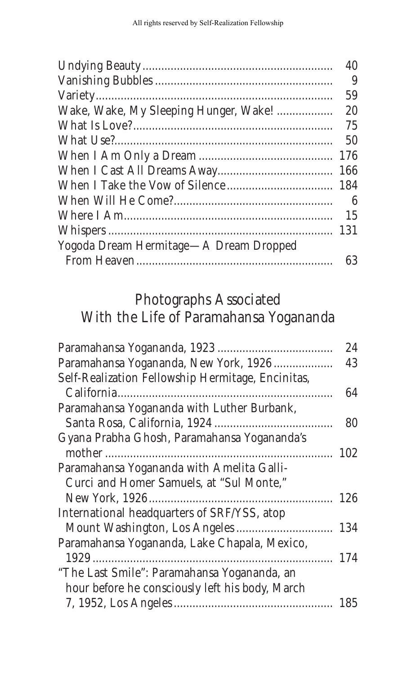| 40  |
|-----|
| 9   |
| 59  |
| 20  |
| 75  |
| 50  |
| 176 |
| 166 |
| 184 |
| 6   |
| 15  |
| 131 |
|     |
| 63  |
|     |

## Photographs Associated With the Life of Paramahansa Yogananda

|                                                   | 24  |
|---------------------------------------------------|-----|
| Paramahansa Yogananda, New York, 1926             | 43  |
| Self-Realization Fellowship Hermitage, Encinitas, |     |
|                                                   | 64  |
| Paramahansa Yogananda with Luther Burbank,        |     |
|                                                   | 80  |
| Gyana Prabha Ghosh, Paramahansa Yogananda's       |     |
|                                                   | 102 |
| Paramahansa Yogananda with Amelita Galli-         |     |
| Curci and Homer Samuels, at "Sul Monte,"          |     |
|                                                   | 126 |
| International headquarters of SRF/YSS, atop       |     |
|                                                   | 134 |
| Paramahansa Yogananda, Lake Chapala, Mexico,      |     |
|                                                   | 174 |
| "The Last Smile": Paramahansa Yogananda, an       |     |
| hour before he consciously left his body, March   |     |
|                                                   | 185 |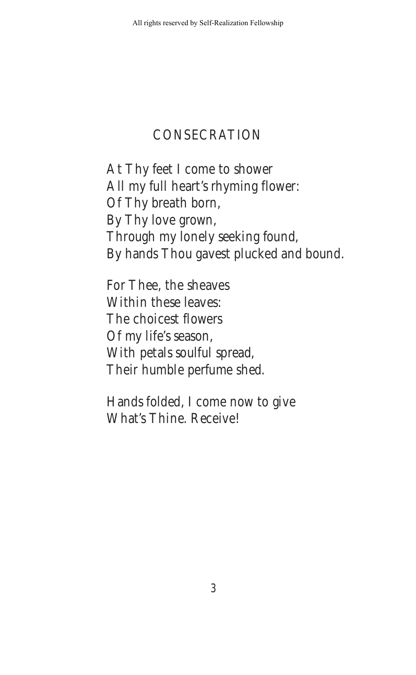#### **CONSECRATION**

At Thy feet I come to shower All my full heart's rhyming flower: Of Thy breath born, By Thy love grown, Through my lonely seeking found, By hands Thou gavest plucked and bound.

For Thee, the sheaves Within these leaves: The choicest flowers Of my life's season, With petals soulful spread, Their humble perfume shed.

Hands folded, I come now to give What's Thine. Receive!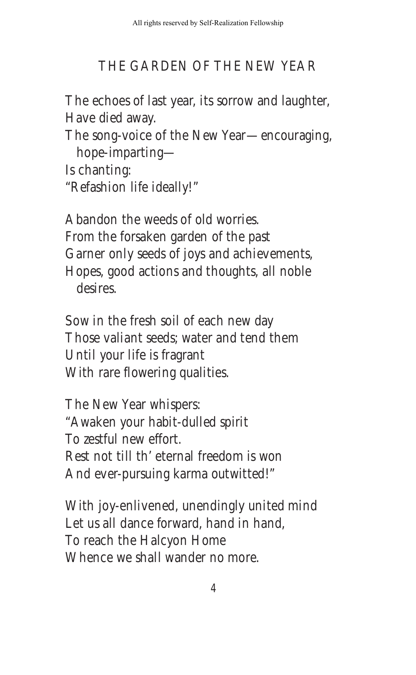#### THE GARDEN OF THE NEW YEAR

The echoes of last year, its sorrow and laughter, Have died away.

The song-voice of the New Year—encouraging, hope-imparting-

Is chanting:

"Refashion life ideally!"

Abandon the weeds of old worries. From the forsaken garden of the past Garner only seeds of joys and achievements, Hopes, good actions and thoughts, all noble desires.

Sow in the fresh soil of each new day Those valiant seeds; water and tend them Until your life is fragrant With rare flowering qualities.

The New Year whispers: "Awaken your habit-dulled spirit To zestful new effort. Rest not till th' eternal freedom is won And ever-pursuing karma outwitted!"

With joy-enlivened, unendingly united mind Let us all dance forward, hand in hand, To reach the Halcyon Home Whence we shall wander no more.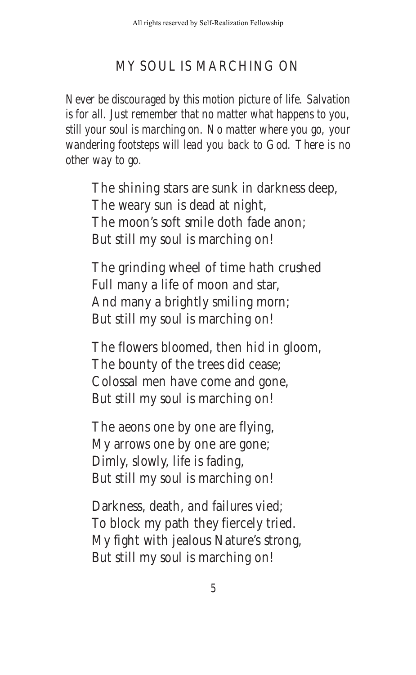#### MY SOUL IS MARCHING ON

*Never be discouraged by this motion picture of life. Salvation is for all. Just remember that no matter what happens to you, still your soul is marching on. No matter where you go, your wandering footsteps will lead you back to God. There is no other way to go.*

The shining stars are sunk in darkness deep, The weary sun is dead at night, The moon's soft smile doth fade anon; But still my soul is marching on!

The grinding wheel of time hath crushed Full many a life of moon and star, And many a brightly smiling morn; But still my soul is marching on!

The flowers bloomed, then hid in gloom, The bounty of the trees did cease; Colossal men have come and gone, But still my soul is marching on!

The aeons one by one are flying, My arrows one by one are gone; Dimly, slowly, life is fading, But still my soul is marching on!

Darkness, death, and failures vied; To block my path they fiercely tried. My fight with jealous Nature's strong, But still my soul is marching on!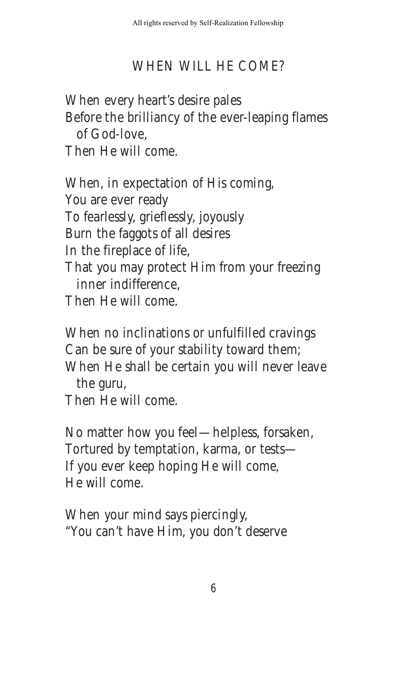### WHEN WILL HE COME?

When every heart's desire pales Before the brilliancy of the ever-leaping flames of God-love, Then He will come.

When, in expectation of His coming, You are ever ready To fearlessly, grieflessly, joyously Burn the faggots of all desires In the fireplace of life, That you may protect Him from your freezing inner indifference, Then He will come.

When no inclinations or unfulfilled cravings Can be sure of your stability toward them; When He shall be certain you will never leave the guru,

Then He will come.

No matter how you feel — helpless, forsaken, Tortured by temptation, karma, or tests — If you ever keep hoping He will come, He will come.

When your mind says piercingly, "You can't have Him, you don't deserve